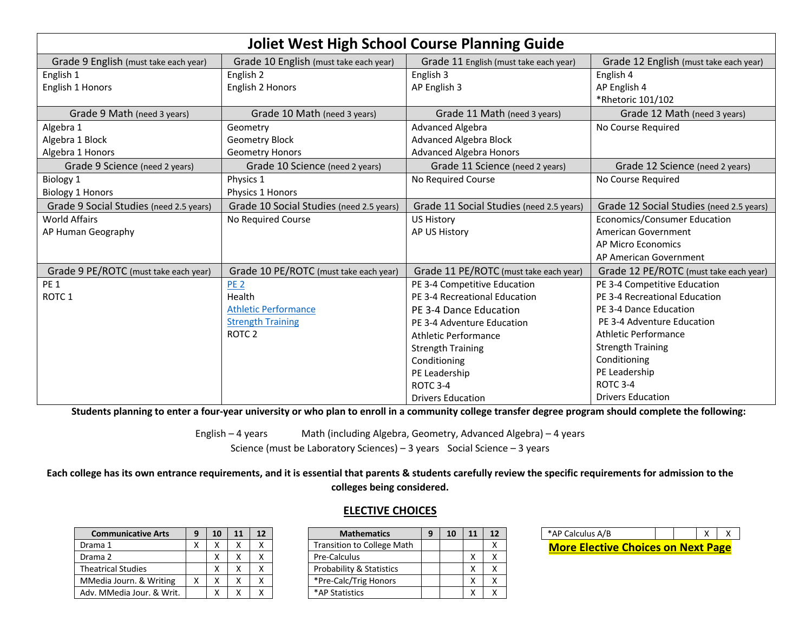|                                         | <b>Joliet West High School Course Planning Guide</b> |                                          |                                          |  |  |  |
|-----------------------------------------|------------------------------------------------------|------------------------------------------|------------------------------------------|--|--|--|
| Grade 9 English (must take each year)   | Grade 10 English (must take each year)               | Grade 11 English (must take each year)   | Grade 12 English (must take each year)   |  |  |  |
| English 1                               | English 2                                            | English 3                                | English 4                                |  |  |  |
| English 1 Honors                        | English 2 Honors                                     | AP English 3                             | AP English 4                             |  |  |  |
|                                         |                                                      |                                          | *Rhetoric 101/102                        |  |  |  |
| Grade 9 Math (need 3 years)             | Grade 10 Math (need 3 years)                         | Grade 11 Math (need 3 years)             | Grade 12 Math (need 3 years)             |  |  |  |
| Algebra 1                               | Geometry                                             | Advanced Algebra                         | No Course Required                       |  |  |  |
| Algebra 1 Block                         | <b>Geometry Block</b>                                | <b>Advanced Algebra Block</b>            |                                          |  |  |  |
| Algebra 1 Honors                        | <b>Geometry Honors</b>                               | <b>Advanced Algebra Honors</b>           |                                          |  |  |  |
| Grade 9 Science (need 2 years)          | Grade 10 Science (need 2 years)                      | Grade 11 Science (need 2 years)          | Grade 12 Science (need 2 years)          |  |  |  |
| Biology 1                               | Physics 1                                            | No Required Course                       | No Course Required                       |  |  |  |
| <b>Biology 1 Honors</b>                 | Physics 1 Honors                                     |                                          |                                          |  |  |  |
| Grade 9 Social Studies (need 2.5 years) | Grade 10 Social Studies (need 2.5 years)             | Grade 11 Social Studies (need 2.5 years) | Grade 12 Social Studies (need 2.5 years) |  |  |  |
| <b>World Affairs</b>                    | No Required Course                                   | <b>US History</b>                        | Economics/Consumer Education             |  |  |  |
| AP Human Geography                      |                                                      | AP US History                            | American Government                      |  |  |  |
|                                         |                                                      |                                          | <b>AP Micro Economics</b>                |  |  |  |
|                                         |                                                      |                                          | AP American Government                   |  |  |  |
| Grade 9 PE/ROTC (must take each year)   | Grade 10 PE/ROTC (must take each year)               | Grade 11 PE/ROTC (must take each year)   | Grade 12 PE/ROTC (must take each year)   |  |  |  |
| PE <sub>1</sub>                         | PE <sub>2</sub>                                      | PE 3-4 Competitive Education             | PE 3-4 Competitive Education             |  |  |  |
| ROTC <sub>1</sub>                       | Health                                               | PE 3-4 Recreational Education            | PE 3-4 Recreational Education            |  |  |  |
|                                         | <b>Athletic Performance</b>                          | PE 3-4 Dance Education                   | PE 3-4 Dance Education                   |  |  |  |
|                                         | <b>Strength Training</b>                             | PE 3-4 Adventure Education               | PE 3-4 Adventure Education               |  |  |  |
|                                         | ROTC <sub>2</sub>                                    | Athletic Performance                     | Athletic Performance                     |  |  |  |
|                                         |                                                      | <b>Strength Training</b>                 | <b>Strength Training</b>                 |  |  |  |
|                                         |                                                      | Conditioning                             | Conditioning                             |  |  |  |
|                                         |                                                      | PE Leadership                            | PE Leadership                            |  |  |  |
|                                         |                                                      | <b>ROTC 3-4</b>                          | ROTC <sub>3</sub> -4                     |  |  |  |
|                                         |                                                      | <b>Drivers Education</b>                 | <b>Drivers Education</b>                 |  |  |  |

**Students planning to enter a four-year university or who plan to enroll in a community college transfer degree program should complete the following:**

English – 4 years Math (including Algebra, Geometry, Advanced Algebra) – 4 years Science (must be Laboratory Sciences) – 3 years Social Science – 3 years

**Each college has its own entrance requirements, and it is essential that parents & students carefully review the specific requirements for admission to the colleges being considered.**

| <b>Communicative Arts</b> | 9 | 10 | 11 | 12 |
|---------------------------|---|----|----|----|
| Drama 1                   | x | x  | x  |    |
| Drama 2                   |   | x  | x  |    |
| <b>Theatrical Studies</b> |   | x  | v  |    |
| MMedia Journ. & Writing   | x | x  | χ  |    |
| Adv. MMedia Jour. & Writ. |   | χ  |    |    |

## **ELECTIVE CHOICES**

| <b>Mathematics</b>                  | 9 | 10 | 11 | 12 |
|-------------------------------------|---|----|----|----|
| <b>Transition to College Math</b>   |   |    |    | x  |
| Pre-Calculus                        |   |    | χ  | x  |
| <b>Probability &amp; Statistics</b> |   |    | χ  | χ  |
| *Pre-Calc/Trig Honors               |   |    | χ  |    |
| *AP Statistics                      |   |    |    |    |
|                                     |   |    |    |    |

| *AP Calculus A/B                          |  |  |  |  |  |
|-------------------------------------------|--|--|--|--|--|
| <b>More Elective Choices on Next Page</b> |  |  |  |  |  |